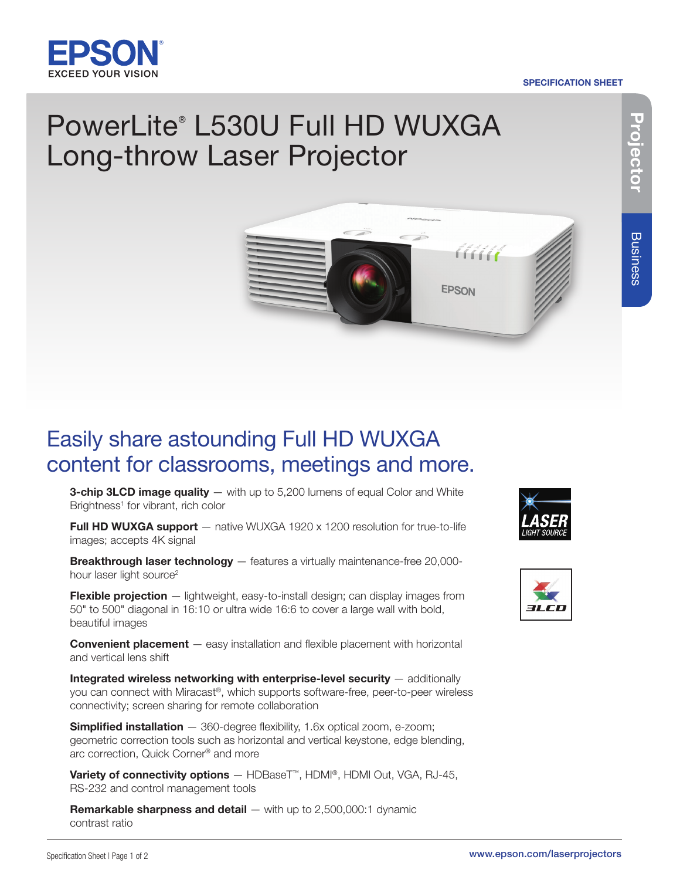

# SPECIFICATION SHEET

# PowerLite® L530U Full HD WUXGA Long-throw Laser Projector



# Easily share astounding Full HD WUXGA content for classrooms, meetings and more.

**3-chip 3LCD image quality** — with up to 5,200 lumens of equal Color and White Brightness<sup>1</sup> for vibrant, rich color

Full HD WUXGA support - native WUXGA 1920 x 1200 resolution for true-to-life images; accepts 4K signal

Breakthrough laser technology - features a virtually maintenance-free 20,000hour laser light source<sup>2</sup>

Flexible projection - lightweight, easy-to-install design; can display images from 50" to 500" diagonal in 16:10 or ultra wide 16:6 to cover a large wall with bold, beautiful images

**Convenient placement** — easy installation and flexible placement with horizontal and vertical lens shift

Integrated wireless networking with enterprise-level security — additionally you can connect with Miracast®, which supports software-free, peer-to-peer wireless connectivity; screen sharing for remote collaboration

Simplified installation - 360-degree flexibility, 1.6x optical zoom, e-zoom; geometric correction tools such as horizontal and vertical keystone, edge blending, arc correction, Quick Corner® and more

Variety of connectivity options - HDBaseT<sup>™</sup>, HDMI®, HDMI Out, VGA, RJ-45, RS-232 and control management tools

**Remarkable sharpness and detail**  $-$  with up to 2,500,000:1 dynamic contrast ratio



<u> AAAA</u>